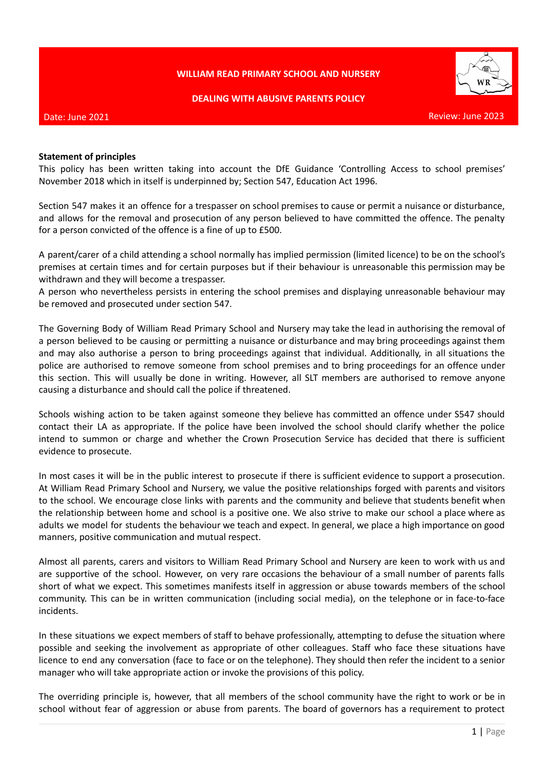### **WILLIAM READ PRIMARY SCHOOL AND NURSERY**

#### **DEALING WITH ABUSIVE PARENTS POLICY**



#### Date: June 2021

#### Review: June 2023

#### **Statement of principles**

This policy has been written taking into account the DfE Guidance 'Controlling Access to school premises' November 2018 which in itself is underpinned by; Section 547, Education Act 1996.

Section 547 makes it an offence for a trespasser on school premises to cause or permit a nuisance or disturbance, and allows for the removal and prosecution of any person believed to have committed the offence. The penalty for a person convicted of the offence is a fine of up to £500.

A parent/carer of a child attending a school normally has implied permission (limited licence) to be on the school's premises at certain times and for certain purposes but if their behaviour is unreasonable this permission may be withdrawn and they will become a trespasser.

A person who nevertheless persists in entering the school premises and displaying unreasonable behaviour may be removed and prosecuted under section 547.

The Governing Body of William Read Primary School and Nursery may take the lead in authorising the removal of a person believed to be causing or permitting a nuisance or disturbance and may bring proceedings against them and may also authorise a person to bring proceedings against that individual. Additionally, in all situations the police are authorised to remove someone from school premises and to bring proceedings for an offence under this section. This will usually be done in writing. However, all SLT members are authorised to remove anyone causing a disturbance and should call the police if threatened.

Schools wishing action to be taken against someone they believe has committed an offence under S547 should contact their LA as appropriate. If the police have been involved the school should clarify whether the police intend to summon or charge and whether the Crown Prosecution Service has decided that there is sufficient evidence to prosecute.

In most cases it will be in the public interest to prosecute if there is sufficient evidence to support a prosecution. At William Read Primary School and Nursery, we value the positive relationships forged with parents and visitors to the school. We encourage close links with parents and the community and believe that students benefit when the relationship between home and school is a positive one. We also strive to make our school a place where as adults we model for students the behaviour we teach and expect. In general, we place a high importance on good manners, positive communication and mutual respect.

Almost all parents, carers and visitors to William Read Primary School and Nursery are keen to work with us and are supportive of the school. However, on very rare occasions the behaviour of a small number of parents falls short of what we expect. This sometimes manifests itself in aggression or abuse towards members of the school community. This can be in written communication (including social media), on the telephone or in face-to-face incidents.

In these situations we expect members of staff to behave professionally, attempting to defuse the situation where possible and seeking the involvement as appropriate of other colleagues. Staff who face these situations have licence to end any conversation (face to face or on the telephone). They should then refer the incident to a senior manager who will take appropriate action or invoke the provisions of this policy.

The overriding principle is, however, that all members of the school community have the right to work or be in school without fear of aggression or abuse from parents. The board of governors has a requirement to protect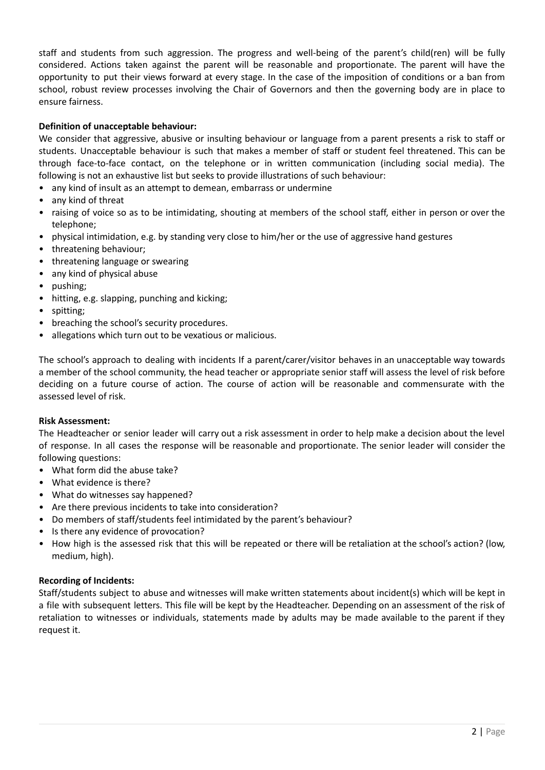staff and students from such aggression. The progress and well-being of the parent's child(ren) will be fully considered. Actions taken against the parent will be reasonable and proportionate. The parent will have the opportunity to put their views forward at every stage. In the case of the imposition of conditions or a ban from school, robust review processes involving the Chair of Governors and then the governing body are in place to ensure fairness.

### **Definition of unacceptable behaviour:**

We consider that aggressive, abusive or insulting behaviour or language from a parent presents a risk to staff or students. Unacceptable behaviour is such that makes a member of staff or student feel threatened. This can be through face-to-face contact, on the telephone or in written communication (including social media). The following is not an exhaustive list but seeks to provide illustrations of such behaviour:

- any kind of insult as an attempt to demean, embarrass or undermine
- any kind of threat
- raising of voice so as to be intimidating, shouting at members of the school staff, either in person or over the telephone;
- physical intimidation, e.g. by standing very close to him/her or the use of aggressive hand gestures
- threatening behaviour;
- threatening language or swearing
- any kind of physical abuse
- pushing;
- hitting, e.g. slapping, punching and kicking;
- spitting;
- breaching the school's security procedures.
- allegations which turn out to be vexatious or malicious.

The school's approach to dealing with incidents If a parent/carer/visitor behaves in an unacceptable way towards a member of the school community, the head teacher or appropriate senior staff will assess the level of risk before deciding on a future course of action. The course of action will be reasonable and commensurate with the assessed level of risk.

### **Risk Assessment:**

The Headteacher or senior leader will carry out a risk assessment in order to help make a decision about the level of response. In all cases the response will be reasonable and proportionate. The senior leader will consider the following questions:

- What form did the abuse take?
- What evidence is there?
- What do witnesses say happened?
- Are there previous incidents to take into consideration?
- Do members of staff/students feel intimidated by the parent's behaviour?
- Is there any evidence of provocation?
- How high is the assessed risk that this will be repeated or there will be retaliation at the school's action? (low, medium, high).

### **Recording of Incidents:**

Staff/students subject to abuse and witnesses will make written statements about incident(s) which will be kept in a file with subsequent letters. This file will be kept by the Headteacher. Depending on an assessment of the risk of retaliation to witnesses or individuals, statements made by adults may be made available to the parent if they request it.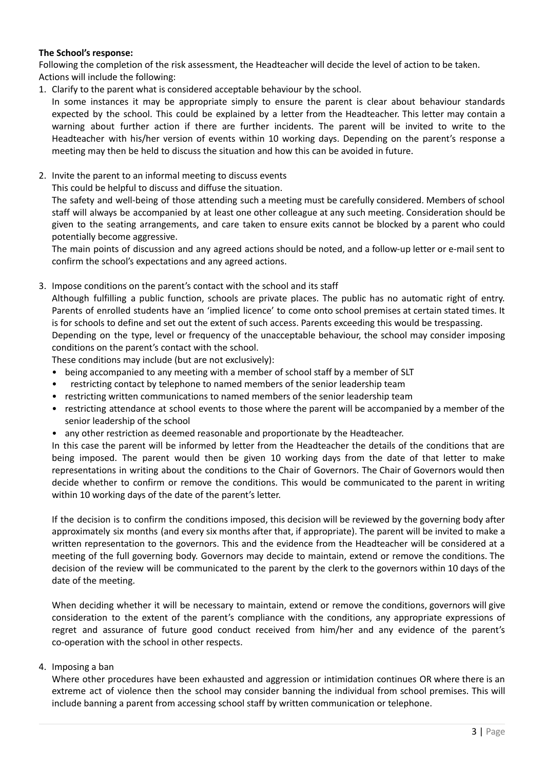### **The School's response:**

Following the completion of the risk assessment, the Headteacher will decide the level of action to be taken. Actions will include the following:

1. Clarify to the parent what is considered acceptable behaviour by the school.

In some instances it may be appropriate simply to ensure the parent is clear about behaviour standards expected by the school. This could be explained by a letter from the Headteacher. This letter may contain a warning about further action if there are further incidents. The parent will be invited to write to the Headteacher with his/her version of events within 10 working days. Depending on the parent's response a meeting may then be held to discuss the situation and how this can be avoided in future.

- 2. Invite the parent to an informal meeting to discuss events
	- This could be helpful to discuss and diffuse the situation.

The safety and well-being of those attending such a meeting must be carefully considered. Members of school staff will always be accompanied by at least one other colleague at any such meeting. Consideration should be given to the seating arrangements, and care taken to ensure exits cannot be blocked by a parent who could potentially become aggressive.

The main points of discussion and any agreed actions should be noted, and a follow-up letter or e-mail sent to confirm the school's expectations and any agreed actions.

3. Impose conditions on the parent's contact with the school and its staff

Although fulfilling a public function, schools are private places. The public has no automatic right of entry. Parents of enrolled students have an 'implied licence' to come onto school premises at certain stated times. It is for schools to define and set out the extent of such access. Parents exceeding this would be trespassing. Depending on the type, level or frequency of the unacceptable behaviour, the school may consider imposing conditions on the parent's contact with the school.

These conditions may include (but are not exclusively):

- being accompanied to any meeting with a member of school staff by a member of SLT
- restricting contact by telephone to named members of the senior leadership team
- restricting written communications to named members of the senior leadership team
- restricting attendance at school events to those where the parent will be accompanied by a member of the senior leadership of the school
- any other restriction as deemed reasonable and proportionate by the Headteacher.

In this case the parent will be informed by letter from the Headteacher the details of the conditions that are being imposed. The parent would then be given 10 working days from the date of that letter to make representations in writing about the conditions to the Chair of Governors. The Chair of Governors would then decide whether to confirm or remove the conditions. This would be communicated to the parent in writing within 10 working days of the date of the parent's letter.

If the decision is to confirm the conditions imposed, this decision will be reviewed by the governing body after approximately six months (and every six months after that, if appropriate). The parent will be invited to make a written representation to the governors. This and the evidence from the Headteacher will be considered at a meeting of the full governing body. Governors may decide to maintain, extend or remove the conditions. The decision of the review will be communicated to the parent by the clerk to the governors within 10 days of the date of the meeting.

When deciding whether it will be necessary to maintain, extend or remove the conditions, governors will give consideration to the extent of the parent's compliance with the conditions, any appropriate expressions of regret and assurance of future good conduct received from him/her and any evidence of the parent's co-operation with the school in other respects.

### 4. Imposing a ban

Where other procedures have been exhausted and aggression or intimidation continues OR where there is an extreme act of violence then the school may consider banning the individual from school premises. This will include banning a parent from accessing school staff by written communication or telephone.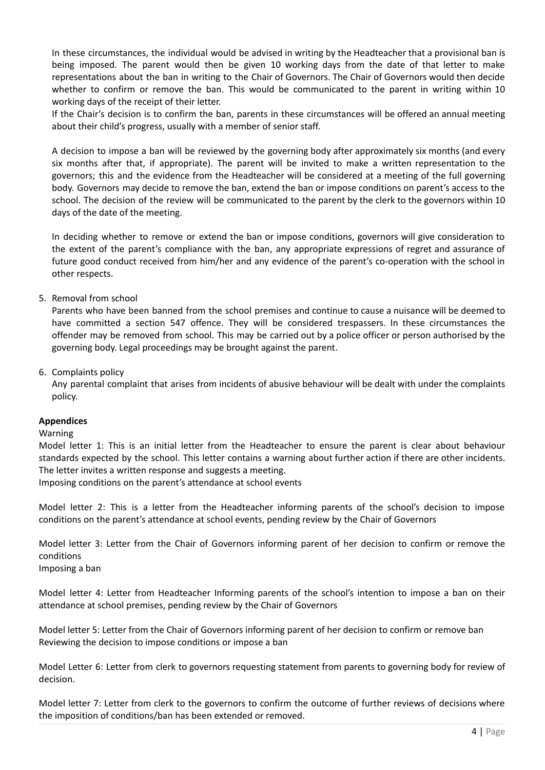In these circumstances, the individual would be advised in writing by the Headteacher that a provisional ban is being imposed. The parent would then be given 10 working days from the date of that letter to make representations about the ban in writing to the Chair of Governors. The Chair of Governors would then decide whether to confirm or remove the ban. This would be communicated to the parent in writing within 10 working days of the receipt of their letter.

If the Chair's decision is to confirm the ban, parents in these circumstances will be offered an annual meeting about their child's progress, usually with a member of senior staff.

A decision to impose a ban will be reviewed by the governing body after approximately six months (and every six months after that, if appropriate). The parent will be invited to make a written representation to the governors; this and the evidence from the Headteacher will be considered at a meeting of the full governing body. Governors may decide to remove the ban, extend the ban or impose conditions on parent's access to the school. The decision of the review will be communicated to the parent by the clerk to the governors within 10 days of the date of the meeting.

In deciding whether to remove or extend the ban or impose conditions, governors will give consideration to the extent of the parent's compliance with the ban, any appropriate expressions of regret and assurance of future good conduct received from him/her and any evidence of the parent's co-operation with the school in other respects.

5. Removal from school

Parents who have been banned from the school premises and continue to cause a nuisance will be deemed to have committed a section 547 offence. They will be considered trespassers. In these circumstances the offender may be removed from school. This may be carried out by a police officer or person authorised by the governing body. Legal proceedings may be brought against the parent.

6. Complaints policy

Any parental complaint that arises from incidents of abusive behaviour will be dealt with under the complaints policy.

### **Appendices**

### Warning

Model letter 1: This is an initial letter from the Headteacher to ensure the parent is clear about behaviour standards expected by the school. This letter contains a warning about further action if there are other incidents. The letter invites a written response and suggests a meeting.

Imposing conditions on the parent's attendance at school events

Model letter 2: This is a letter from the Headteacher informing parents of the school's decision to impose conditions on the parent's attendance at school events, pending review by the Chair of Governors

Model letter 3: Letter from the Chair of Governors informing parent of her decision to confirm or remove the conditions

Imposing a ban

Model letter 4: Letter from Headteacher Informing parents of the school's intention to impose a ban on their attendance at school premises, pending review by the Chair of Governors

Model letter 5: Letter from the Chair of Governors informing parent of her decision to confirm or remove ban Reviewing the decision to impose conditions or impose a ban

Model Letter 6: Letter from clerk to governors requesting statement from parents to governing body for review of decision.

Model letter 7: Letter from clerk to the governors to confirm the outcome of further reviews of decisions where the imposition of conditions/ban has been extended or removed.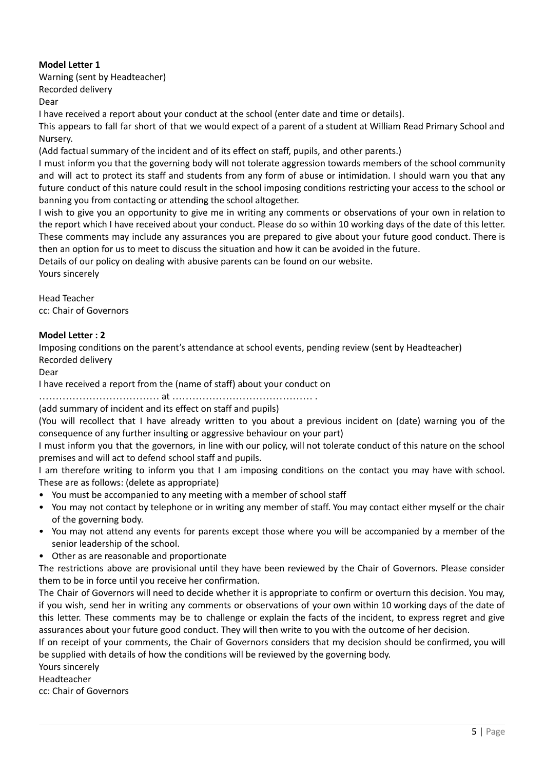# **Model Letter 1**

Warning (sent by Headteacher) Recorded delivery

Dear

I have received a report about your conduct at the school (enter date and time or details).

This appears to fall far short of that we would expect of a parent of a student at William Read Primary School and Nursery.

(Add factual summary of the incident and of its effect on staff, pupils, and other parents.)

I must inform you that the governing body will not tolerate aggression towards members of the school community and will act to protect its staff and students from any form of abuse or intimidation. I should warn you that any future conduct of this nature could result in the school imposing conditions restricting your access to the school or banning you from contacting or attending the school altogether.

I wish to give you an opportunity to give me in writing any comments or observations of your own in relation to the report which I have received about your conduct. Please do so within 10 working days of the date of this letter. These comments may include any assurances you are prepared to give about your future good conduct. There is then an option for us to meet to discuss the situation and how it can be avoided in the future.

Details of our policy on dealing with abusive parents can be found on our website.

Yours sincerely

Head Teacher cc: Chair of Governors

## **Model Letter : 2**

Imposing conditions on the parent's attendance at school events, pending review (sent by Headteacher) Recorded delivery

Dear

I have received a report from the (name of staff) about your conduct on

……………………………… at …………………………………… .

### (add summary of incident and its effect on staff and pupils)

(You will recollect that I have already written to you about a previous incident on (date) warning you of the consequence of any further insulting or aggressive behaviour on your part)

I must inform you that the governors, in line with our policy, will not tolerate conduct of this nature on the school premises and will act to defend school staff and pupils.

I am therefore writing to inform you that I am imposing conditions on the contact you may have with school. These are as follows: (delete as appropriate)

- You must be accompanied to any meeting with a member of school staff
- You may not contact by telephone or in writing any member of staff. You may contact either myself or the chair of the governing body.
- You may not attend any events for parents except those where you will be accompanied by a member of the senior leadership of the school.
- Other as are reasonable and proportionate

The restrictions above are provisional until they have been reviewed by the Chair of Governors. Please consider them to be in force until you receive her confirmation.

The Chair of Governors will need to decide whether it is appropriate to confirm or overturn this decision. You may, if you wish, send her in writing any comments or observations of your own within 10 working days of the date of this letter. These comments may be to challenge or explain the facts of the incident, to express regret and give assurances about your future good conduct. They will then write to you with the outcome of her decision.

If on receipt of your comments, the Chair of Governors considers that my decision should be confirmed, you will be supplied with details of how the conditions will be reviewed by the governing body.

Yours sincerely

Headteacher

cc: Chair of Governors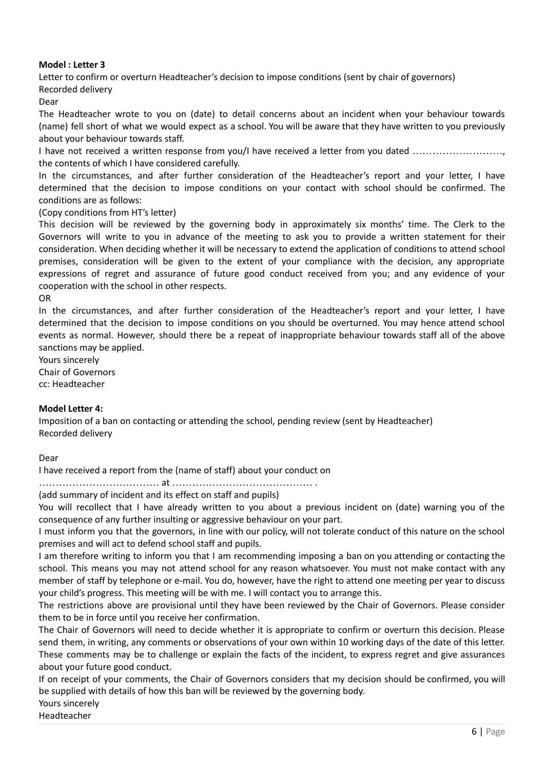## **Model : Letter 3**

Letter to confirm or overturn Headteacher's decision to impose conditions (sent by chair of governors) Recorded delivery

Dear

The Headteacher wrote to you on (date) to detail concerns about an incident when your behaviour towards (name) fell short of what we would expect as a school. You will be aware that they have written to you previously about your behaviour towards staff.

I have not received a written response from you/I have received a letter from you dated ...................... the contents of which I have considered carefully.

In the circumstances, and after further consideration of the Headteacher's report and your letter, I have determined that the decision to impose conditions on your contact with school should be confirmed. The conditions are as follows:

(Copy conditions from HT's letter)

This decision will be reviewed by the governing body in approximately six months' time. The Clerk to the Governors will write to you in advance of the meeting to ask you to provide a written statement for their consideration. When deciding whether it will be necessary to extend the application of conditions to attend school premises, consideration will be given to the extent of your compliance with the decision, any appropriate expressions of regret and assurance of future good conduct received from you; and any evidence of your cooperation with the school in other respects.

OR

In the circumstances, and after further consideration of the Headteacher's report and your letter, I have determined that the decision to impose conditions on you should be overturned. You may hence attend school events as normal. However, should there be a repeat of inappropriate behaviour towards staff all of the above sanctions may be applied.

Yours sincerely Chair of Governors cc: Headteacher

### **Model Letter 4:**

Imposition of a ban on contacting or attending the school, pending review (sent by Headteacher) Recorded delivery

Dear

I have received a report from the (name of staff) about your conduct on

……………………………… at …………………………………… .

(add summary of incident and its effect on staff and pupils)

You will recollect that I have already written to you about a previous incident on (date) warning you of the consequence of any further insulting or aggressive behaviour on your part.

I must inform you that the governors, in line with our policy, will not tolerate conduct of this nature on the school premises and will act to defend school staff and pupils.

I am therefore writing to inform you that I am recommending imposing a ban on you attending or contacting the school. This means you may not attend school for any reason whatsoever. You must not make contact with any member of staff by telephone or e-mail. You do, however, have the right to attend one meeting per year to discuss your child's progress. This meeting will be with me. I will contact you to arrange this.

The restrictions above are provisional until they have been reviewed by the Chair of Governors. Please consider them to be in force until you receive her confirmation.

The Chair of Governors will need to decide whether it is appropriate to confirm or overturn this decision. Please send them, in writing, any comments or observations of your own within 10 working days of the date of this letter. These comments may be to challenge or explain the facts of the incident, to express regret and give assurances about your future good conduct.

If on receipt of your comments, the Chair of Governors considers that my decision should be confirmed, you will be supplied with details of how this ban will be reviewed by the governing body.

Yours sincerely

Headteacher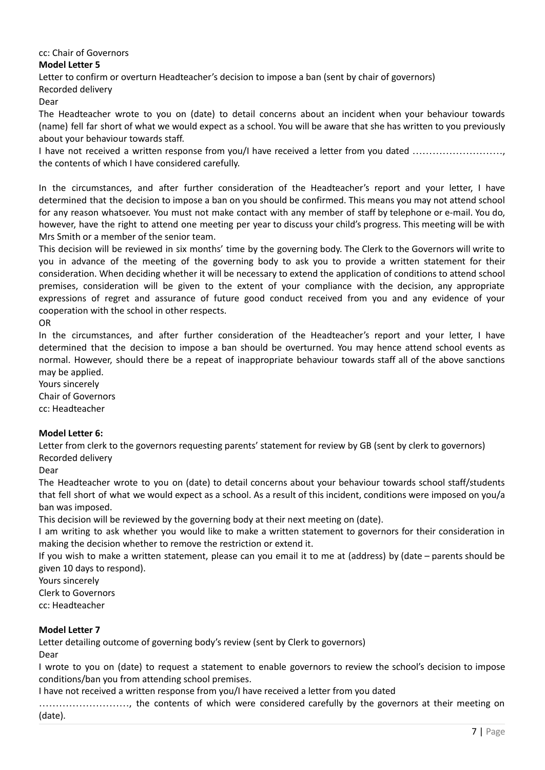### cc: Chair of Governors

### **Model Letter 5**

Letter to confirm or overturn Headteacher's decision to impose a ban (sent by chair of governors) Recorded delivery

Dear

The Headteacher wrote to you on (date) to detail concerns about an incident when your behaviour towards (name) fell far short of what we would expect as a school. You will be aware that she has written to you previously about your behaviour towards staff.

I have not received a written response from you/I have received a letter from you dated ………………………, the contents of which I have considered carefully.

In the circumstances, and after further consideration of the Headteacher's report and your letter, I have determined that the decision to impose a ban on you should be confirmed. This means you may not attend school for any reason whatsoever. You must not make contact with any member of staff by telephone or e-mail. You do, however, have the right to attend one meeting per year to discuss your child's progress. This meeting will be with Mrs Smith or a member of the senior team.

This decision will be reviewed in six months' time by the governing body. The Clerk to the Governors will write to you in advance of the meeting of the governing body to ask you to provide a written statement for their consideration. When deciding whether it will be necessary to extend the application of conditions to attend school premises, consideration will be given to the extent of your compliance with the decision, any appropriate expressions of regret and assurance of future good conduct received from you and any evidence of your cooperation with the school in other respects.

OR

In the circumstances, and after further consideration of the Headteacher's report and your letter, I have determined that the decision to impose a ban should be overturned. You may hence attend school events as normal. However, should there be a repeat of inappropriate behaviour towards staff all of the above sanctions may be applied.

Yours sincerely

Chair of Governors cc: Headteacher

## **Model Letter 6:**

Letter from clerk to the governors requesting parents' statement for review by GB (sent by clerk to governors) Recorded delivery

Dear

The Headteacher wrote to you on (date) to detail concerns about your behaviour towards school staff/students that fell short of what we would expect as a school. As a result of this incident, conditions were imposed on you/a ban was imposed.

This decision will be reviewed by the governing body at their next meeting on (date).

I am writing to ask whether you would like to make a written statement to governors for their consideration in making the decision whether to remove the restriction or extend it.

If you wish to make a written statement, please can you email it to me at (address) by (date – parents should be given 10 days to respond).

Yours sincerely Clerk to Governors cc: Headteacher

## **Model Letter 7**

Letter detailing outcome of governing body's review (sent by Clerk to governors) Dear

I wrote to you on (date) to request a statement to enable governors to review the school's decision to impose conditions/ban you from attending school premises.

I have not received a written response from you/I have received a letter from you dated

………………………, the contents of which were considered carefully by the governors at their meeting on (date).